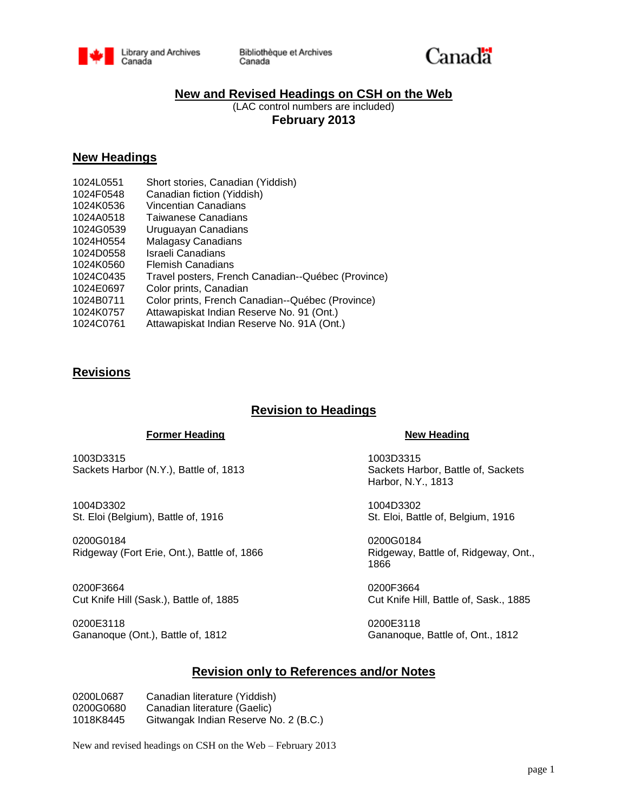

Bibliothèque et Archives Canada



## **New and Revised Headings on CSH on the Web**

(LAC control numbers are included) **February 2013**

## **New Headings**

| Short stories, Canadian (Yiddish)                  |
|----------------------------------------------------|
| Canadian fiction (Yiddish)                         |
| Vincentian Canadians                               |
| Taiwanese Canadians                                |
| Uruguayan Canadians                                |
| Malagasy Canadians                                 |
| Israeli Canadians                                  |
| <b>Flemish Canadians</b>                           |
| Travel posters, French Canadian--Québec (Province) |
| Color prints, Canadian                             |
| Color prints, French Canadian--Québec (Province)   |
| Attawapiskat Indian Reserve No. 91 (Ont.)          |
| Attawapiskat Indian Reserve No. 91A (Ont.)         |
|                                                    |

## **Revisions**

## **Revision to Headings**

### **Former Heading New Heading**

1003D3315 1003D3315 Sackets Harbor (N.Y.), Battle of, 1813 Sackets Harbor, Battle of, Sackets

1004D3302 1004D3302 St. Eloi (Belgium), Battle of, 1916 St. Eloi, Battle of, Belgium, 1916

0200G0184 0200G0184 Ridgeway (Fort Erie, Ont.), Battle of, 1866 Ridgeway, Battle of, Ridgeway, Ont.,

0200F3664 0200F3664 Cut Knife Hill (Sask.), Battle of, 1885 Cut Knife Hill, Battle of, Sask., 1885

0200E3118 0200E3118 Gananoque (Ont.), Battle of, 1812 Gananoque, Battle of, Ont., 1812

Harbor, N.Y., 1813

1866

## **Revision only to References and/or Notes**

0200L0687 Canadian literature (Yiddish) 0200G0680 Canadian literature (Gaelic) 1018K8445 Gitwangak Indian Reserve No. 2 (B.C.)

New and revised headings on CSH on the Web – February 2013